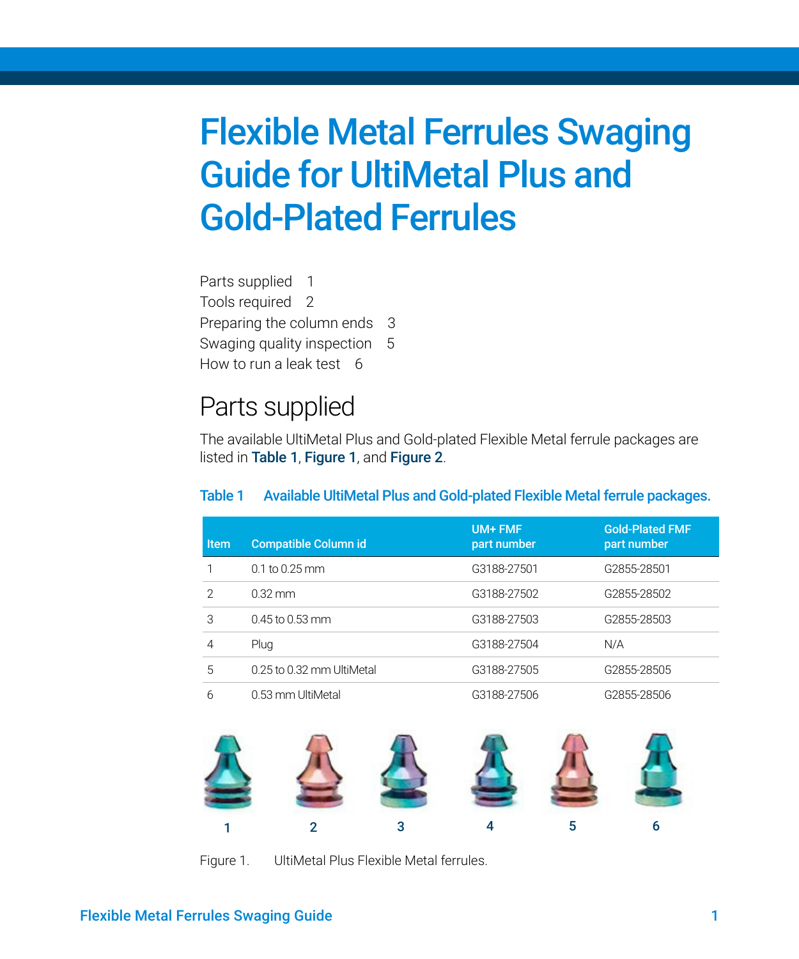[Parts supplied 1](#page-0-2) [Tools required 2](#page-1-0) [Preparing the column ends 3](#page-2-0) [Swaging quality inspection 5](#page-4-0) [How to run a leak test 6](#page-5-0)

### <span id="page-0-2"></span>Parts supplied

The available UltiMetal Plus and Gold-plated Flexible Metal ferrule packages are listed in [Table 1](#page-0-0), [Figure 1](#page-0-1), and [Figure 2](#page-1-1).

<span id="page-0-0"></span>

| Table 1 |  |  |  | Available UltiMetal Plus and Gold-plated Flexible Metal ferrule packages. |
|---------|--|--|--|---------------------------------------------------------------------------|
|---------|--|--|--|---------------------------------------------------------------------------|

| <b>Item</b>   | <b>Compatible Column id</b> | UM+ FMF<br>part number | <b>Gold-Plated FMF</b><br>part number |
|---------------|-----------------------------|------------------------|---------------------------------------|
|               | $0.1$ to 0.25 mm            | G3188-27501            | G2855-28501                           |
| $\mathcal{P}$ | $0.32$ mm                   | G3188-27502            | G2855-28502                           |
| 3             | $0.45$ to $0.53$ mm         | G3188-27503            | G2855-28503                           |
| 4             | Plug                        | G3188-27504            | N/A                                   |
| 5             | 0.25 to 0.32 mm UltiMetal   | G3188-27505            | G2855-28505                           |
| 6             | 0.53 mm UltiMetal           | G3188-27506            | G2855-28506                           |

<span id="page-0-1"></span>

Figure 1. UltiMetal Plus Flexible Metal ferrules.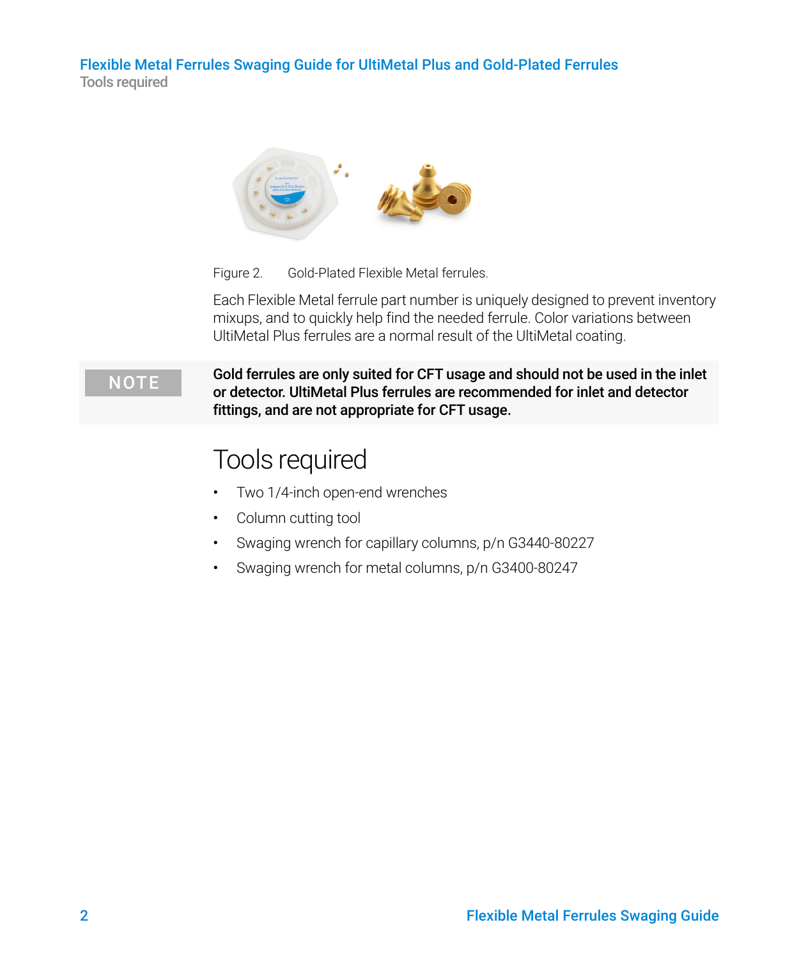

<span id="page-1-1"></span>Figure 2. Gold-Plated Flexible Metal ferrules.

Each Flexible Metal ferrule part number is uniquely designed to prevent inventory mixups, and to quickly help find the needed ferrule. Color variations between UltiMetal Plus ferrules are a normal result of the UltiMetal coating.

NOTE Gold ferrules are only suited for CFT usage and should not be used in the inlet or detector. UltiMetal Plus ferrules are recommended for inlet and detector fittings, and are not appropriate for CFT usage.

### <span id="page-1-0"></span>Tools required

- Two 1/4-inch open-end wrenches
- Column cutting tool
- Swaging wrench for capillary columns, p/n G3440-80227
- Swaging wrench for metal columns, p/n G3400-80247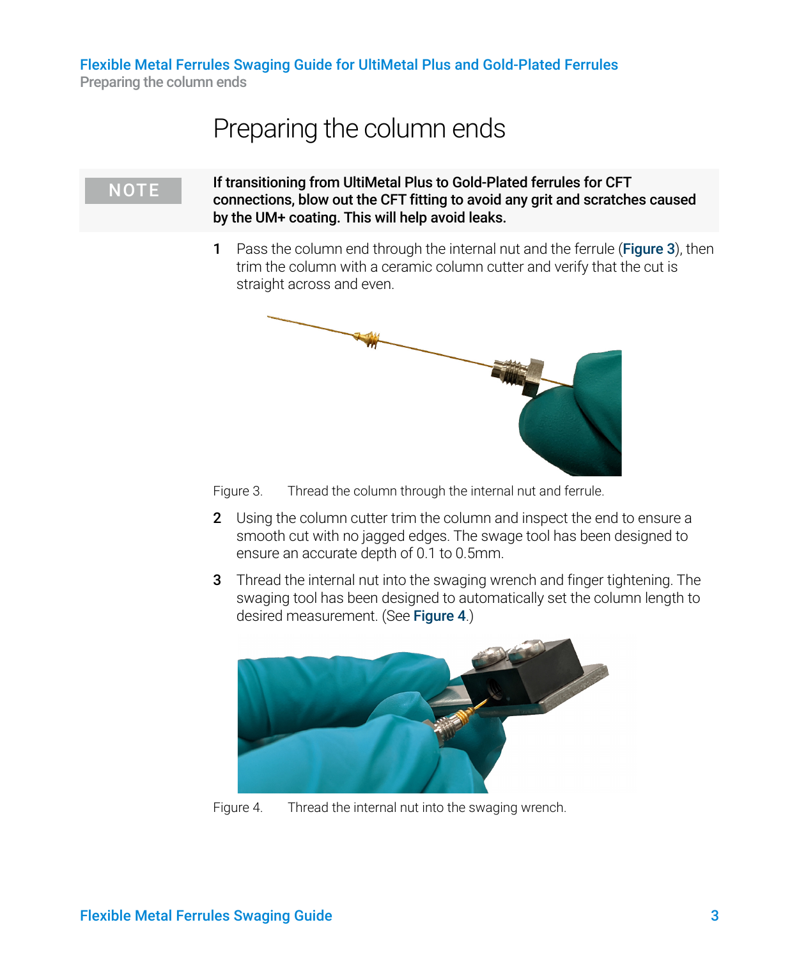Preparing the column ends

### <span id="page-2-0"></span>Preparing the column ends

NOTE If transitioning from UltiMetal Plus to Gold-Plated ferrules for CFT connections, blow out the CFT fitting to avoid any grit and scratches caused by the UM+ coating. This will help avoid leaks.

> 1 Pass the column end through the internal nut and the ferrule ([Figure 3](#page-2-2)), then trim the column with a ceramic column cutter and verify that the cut is straight across and even.



<span id="page-2-2"></span>Figure 3. Thread the column through the internal nut and ferrule.

- 2 Using the column cutter trim the column and inspect the end to ensure a smooth cut with no jagged edges. The swage tool has been designed to ensure an accurate depth of 0.1 to 0.5mm.
- 3 Thread the internal nut into the swaging wrench and finger tightening. The swaging tool has been designed to automatically set the column length to desired measurement. (See [Figure 4](#page-2-1).)

<span id="page-2-1"></span>

Figure 4. Thread the internal nut into the swaging wrench.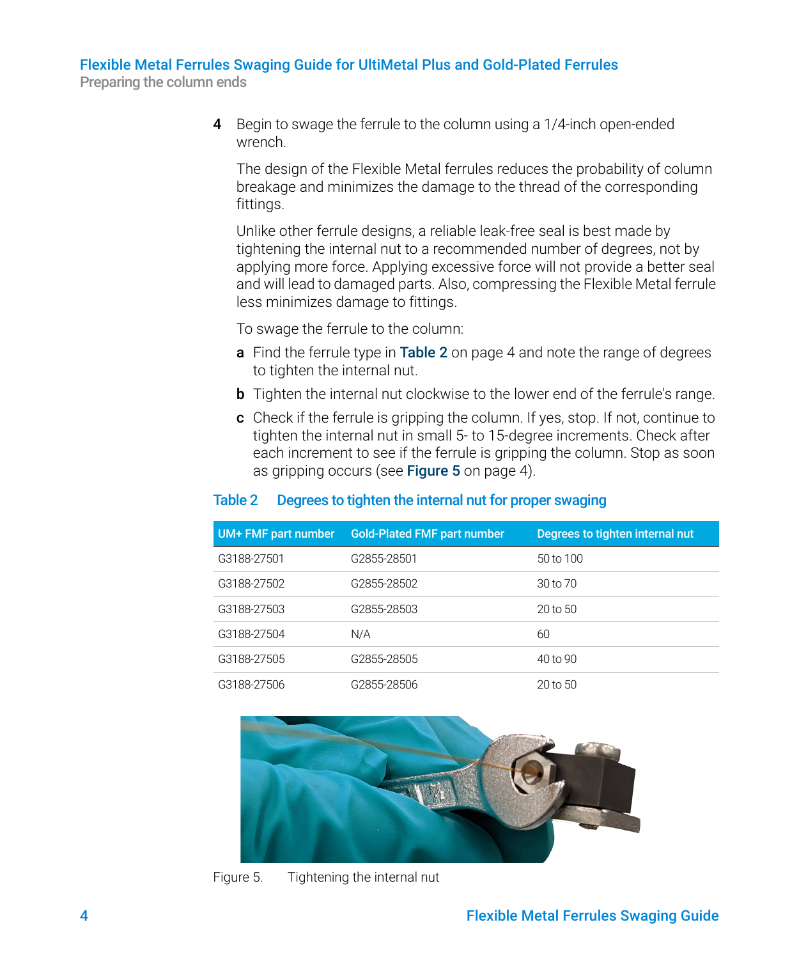Preparing the column ends

4 Begin to swage the ferrule to the column using a 1/4-inch open-ended wrench.

The design of the Flexible Metal ferrules reduces the probability of column breakage and minimizes the damage to the thread of the corresponding fittings.

Unlike other ferrule designs, a reliable leak-free seal is best made by tightening the internal nut to a recommended number of degrees, not by applying more force. Applying excessive force will not provide a better seal and will lead to damaged parts. Also, compressing the Flexible Metal ferrule less minimizes damage to fittings.

To swage the ferrule to the column:

- a Find the ferrule type in Table 2 [on page 4](#page-3-1) and note the range of degrees to tighten the internal nut.
- **b** Tighten the internal nut clockwise to the lower end of the ferrule's range.
- c Check if the ferrule is gripping the column. If yes, stop. If not, continue to tighten the internal nut in small 5- to 15-degree increments. Check after each increment to see if the ferrule is gripping the column. Stop as soon as gripping occurs (see **Figure 5** [on page 4\)](#page-3-0).

### <span id="page-3-1"></span>Table 2 Degrees to tighten the internal nut for proper swaging

| UM+ FMF part number | <b>Gold-Plated FMF part number</b> | Degrees to tighten internal nut |
|---------------------|------------------------------------|---------------------------------|
| G3188-27501         | G2855-28501                        | 50 to 100                       |
| G3188-27502         | G2855-28502                        | $30$ to $70$                    |
| G3188-27503         | G2855-28503                        | 20 to 50                        |
| G3188-27504         | N/A                                | 60                              |
| G3188-27505         | G2855-28505                        | 40 to 90                        |
| G3188-27506         | G2855-28506                        | 20 to 50                        |

<span id="page-3-0"></span>

Figure 5. Tightening the internal nut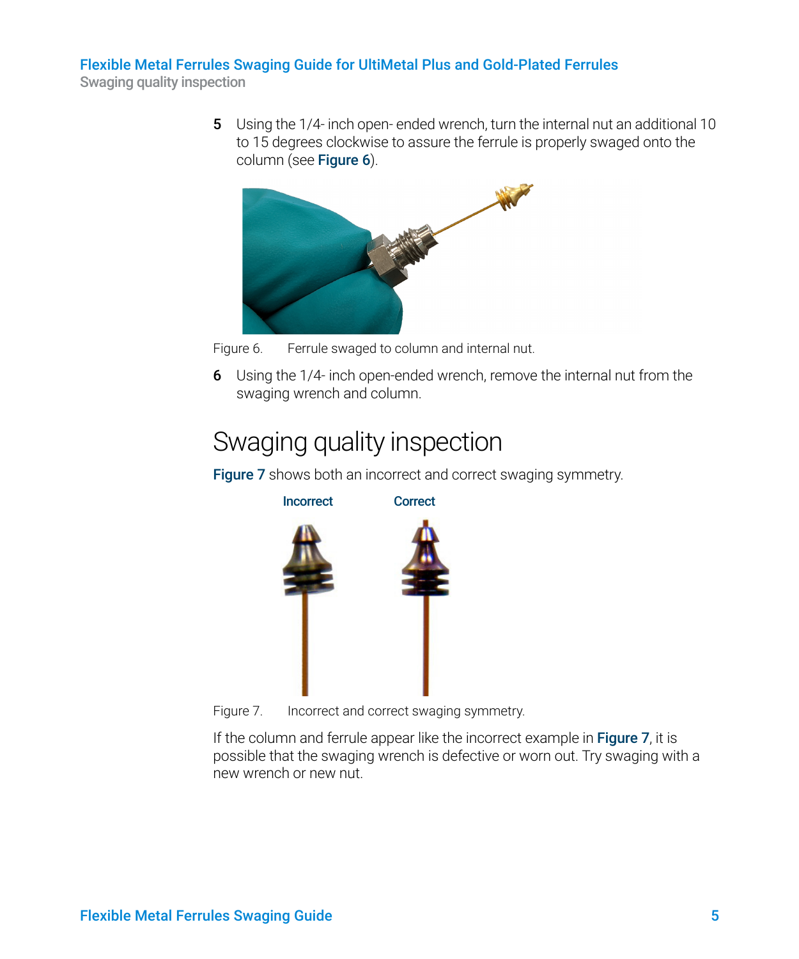Swaging quality inspection

5 Using the 1/4- inch open-ended wrench, turn the internal nut an additional 10 to 15 degrees clockwise to assure the ferrule is properly swaged onto the column (see [Figure 6](#page-4-1)).



<span id="page-4-1"></span>

6 Using the 1/4- inch open-ended wrench, remove the internal nut from the swaging wrench and column.

## <span id="page-4-0"></span>Swaging quality inspection

[Figure 7](#page-4-2) shows both an incorrect and correct swaging symmetry.



Figure 7. Incorrect and correct swaging symmetry.

<span id="page-4-2"></span>If the column and ferrule appear like the incorrect example in **[Figure 7](#page-4-2)**, it is possible that the swaging wrench is defective or worn out. Try swaging with a new wrench or new nut.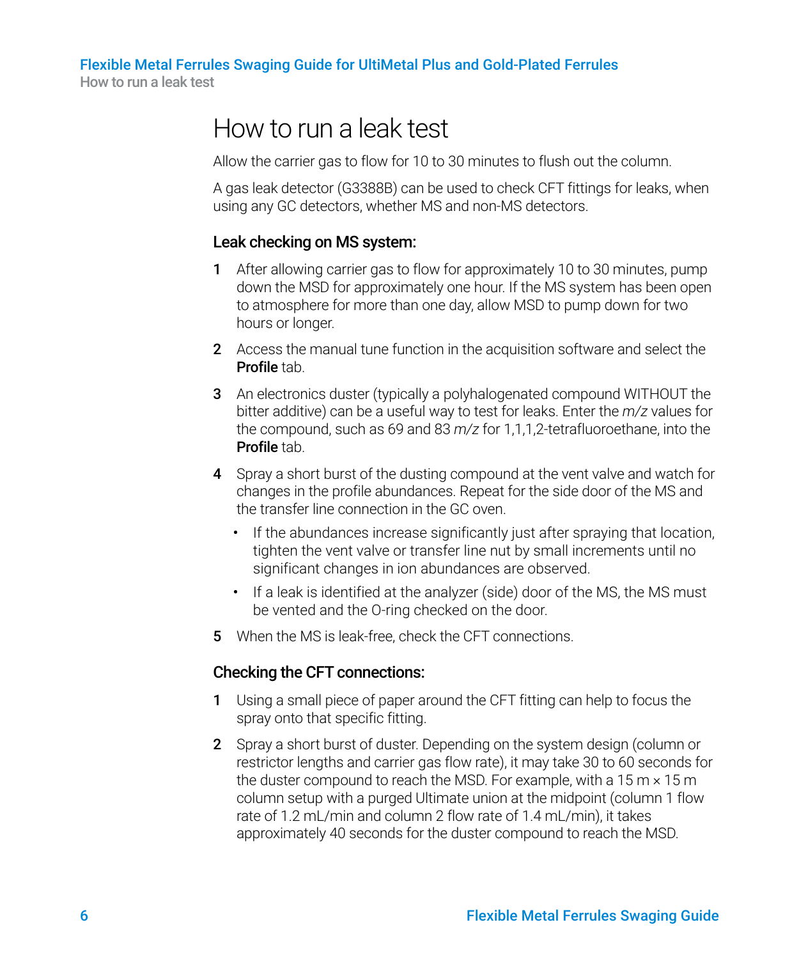Flexible Metal Ferrules Swaging Guide for UltiMetal Plus and Gold-Plated Ferrules How to run a leak test

### <span id="page-5-0"></span>How to run a leak test

Allow the carrier gas to flow for 10 to 30 minutes to flush out the column.

A gas leak detector (G3388B) can be used to check CFT fittings for leaks, when using any GC detectors, whether MS and non-MS detectors.

### Leak checking on MS system:

- 1 After allowing carrier gas to flow for approximately 10 to 30 minutes, pump down the MSD for approximately one hour. If the MS system has been open to atmosphere for more than one day, allow MSD to pump down for two hours or longer.
- 2 Access the manual tune function in the acquisition software and select the Profile tab.
- 3 An electronics duster (typically a polyhalogenated compound WITHOUT the bitter additive) can be a useful way to test for leaks. Enter the *m/z* values for the compound, such as 69 and 83 *m/z* for 1,1,1,2-tetrafluoroethane, into the Profile tab.
- 4 Spray a short burst of the dusting compound at the vent valve and watch for changes in the profile abundances. Repeat for the side door of the MS and the transfer line connection in the GC oven.
	- If the abundances increase significantly just after spraying that location, tighten the vent valve or transfer line nut by small increments until no significant changes in ion abundances are observed.
	- If a leak is identified at the analyzer (side) door of the MS, the MS must be vented and the O-ring checked on the door.
- 5 When the MS is leak-free, check the CFT connections.

#### Checking the CFT connections:

- <span id="page-5-1"></span>1 Using a small piece of paper around the CFT fitting can help to focus the spray onto that specific fitting.
- 2 Spray a short burst of duster. Depending on the system design (column or restrictor lengths and carrier gas flow rate), it may take 30 to 60 seconds for the duster compound to reach the MSD. For example, with a  $15 \text{ m} \times 15 \text{ m}$ column setup with a purged Ultimate union at the midpoint (column 1 flow rate of 1.2 mL/min and column 2 flow rate of 1.4 mL/min), it takes approximately 40 seconds for the duster compound to reach the MSD.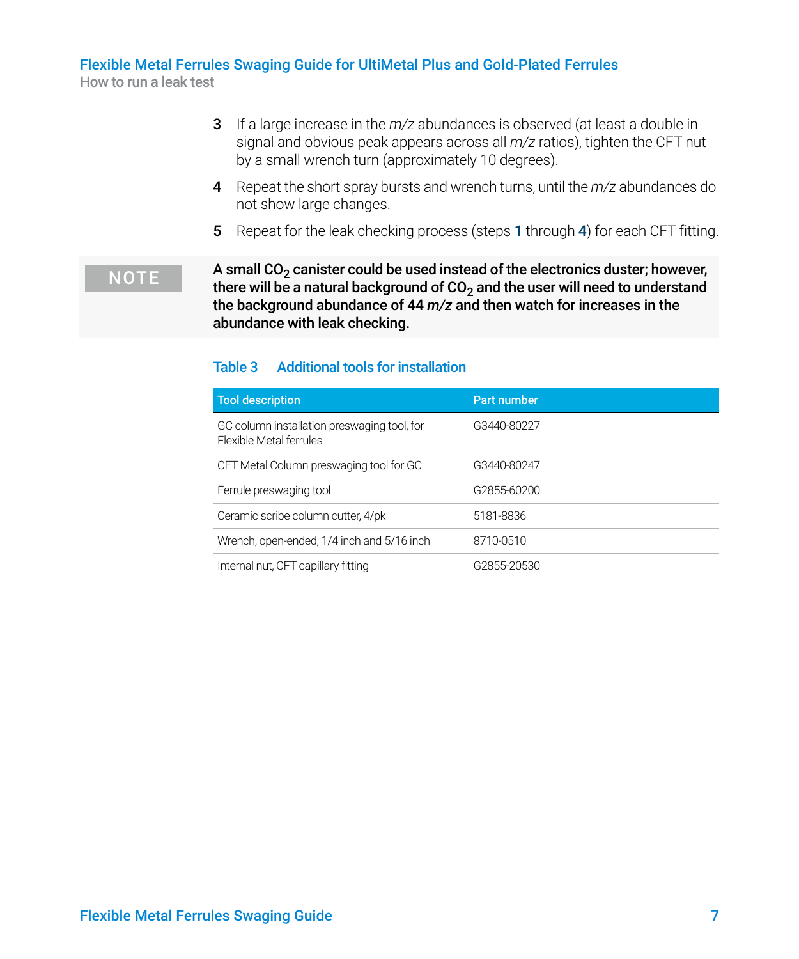How to run a leak test

- 3 If a large increase in the *m/z* abundances is observed (at least a double in signal and obvious peak appears across all *m/z* ratios), tighten the CFT nut by a small wrench turn (approximately 10 degrees).
- <span id="page-6-0"></span>4 Repeat the short spray bursts and wrench turns, until the *m/z* abundances do not show large changes.
- 5 Repeat for the leak checking process (steps [1](#page-5-1) through [4](#page-6-0)) for each CFT fitting.

#### $\overline{NOTE}$  A small  $CO<sub>2</sub>$  canister could be used instead of the electronics duster; however, there will be a natural background of  $CO<sub>2</sub>$  and the user will need to understand the background abundance of 44 *m/z* and then watch for increases in the abundance with leak checking.

#### Table 3 Additional tools for installation

| <b>Tool description</b>                                                | Part number |
|------------------------------------------------------------------------|-------------|
| GC column installation preswaging tool, for<br>Flexible Metal ferrules | G3440-80227 |
| CFT Metal Column preswaging tool for GC                                | G3440-80247 |
| Ferrule preswaging tool                                                | G2855-60200 |
| Ceramic scribe column cutter, 4/pk                                     | 5181-8836   |
| Wrench, open-ended, 1/4 inch and 5/16 inch                             | 8710-0510   |
| Internal nut, CFT capillary fitting                                    | G2855-20530 |